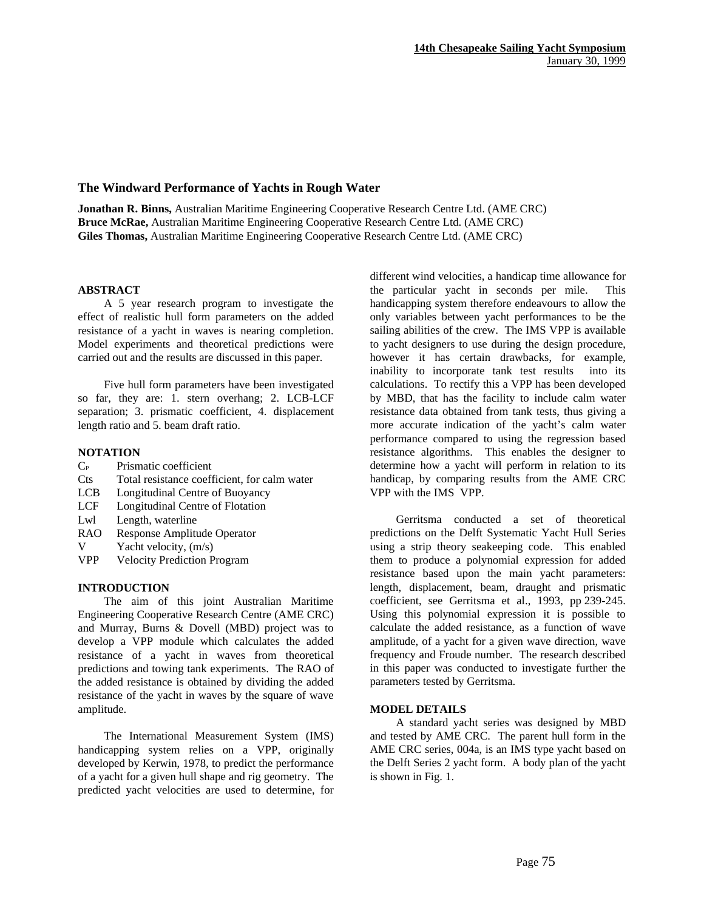# **The Windward Performance of Yachts in Rough Water**

**Jonathan R. Binns,** Australian Maritime Engineering Cooperative Research Centre Ltd. (AME CRC) **Bruce McRae,** Australian Maritime Engineering Cooperative Research Centre Ltd. (AME CRC) **Giles Thomas,** Australian Maritime Engineering Cooperative Research Centre Ltd. (AME CRC)

# **ABSTRACT**

A 5 year research program to investigate the effect of realistic hull form parameters on the added resistance of a yacht in waves is nearing completion. Model experiments and theoretical predictions were carried out and the results are discussed in this paper.

Five hull form parameters have been investigated so far, they are: 1. stern overhang; 2. LCB-LCF separation; 3. prismatic coefficient, 4. displacement length ratio and 5. beam draft ratio.

# **NOTATION**

- $C_P$  Prismatic coefficient
- Cts Total resistance coefficient, for calm water
- LCB Longitudinal Centre of Buoyancy
- LCF Longitudinal Centre of Flotation
- Lwl Length, waterline
- RAO Response Amplitude Operator
- V Yacht velocity, (m/s)
- VPP Velocity Prediction Program

# **INTRODUCTION**

The aim of this joint Australian Maritime Engineering Cooperative Research Centre (AME CRC) and Murray, Burns & Dovell (MBD) project was to develop a VPP module which calculates the added resistance of a yacht in waves from theoretical predictions and towing tank experiments. The RAO of the added resistance is obtained by dividing the added resistance of the yacht in waves by the square of wave amplitude.

The International Measurement System (IMS) handicapping system relies on a VPP, originally developed by Kerwin, 1978, to predict the performance of a yacht for a given hull shape and rig geometry. The predicted yacht velocities are used to determine, for

different wind velocities, a handicap time allowance for the particular yacht in seconds per mile. This handicapping system therefore endeavours to allow the only variables between yacht performances to be the sailing abilities of the crew. The IMS VPP is available to yacht designers to use during the design procedure, however it has certain drawbacks, for example, inability to incorporate tank test results into its calculations. To rectify this a VPP has been developed by MBD, that has the facility to include calm water resistance data obtained from tank tests, thus giving a more accurate indication of the yacht's calm water performance compared to using the regression based resistance algorithms. This enables the designer to determine how a yacht will perform in relation to its handicap, by comparing results from the AME CRC VPP with the IMS VPP.

Gerritsma conducted a set of theoretical predictions on the Delft Systematic Yacht Hull Series using a strip theory seakeeping code. This enabled them to produce a polynomial expression for added resistance based upon the main yacht parameters: length, displacement, beam, draught and prismatic coefficient, see Gerritsma et al., 1993, pp 239-245. Using this polynomial expression it is possible to calculate the added resistance, as a function of wave amplitude, of a yacht for a given wave direction, wave frequency and Froude number. The research described in this paper was conducted to investigate further the parameters tested by Gerritsma.

# **MODEL DETAILS**

A standard yacht series was designed by MBD and tested by AME CRC. The parent hull form in the AME CRC series, 004a, is an IMS type yacht based on the Delft Series 2 yacht form. A body plan of the yacht is shown in Fig. 1.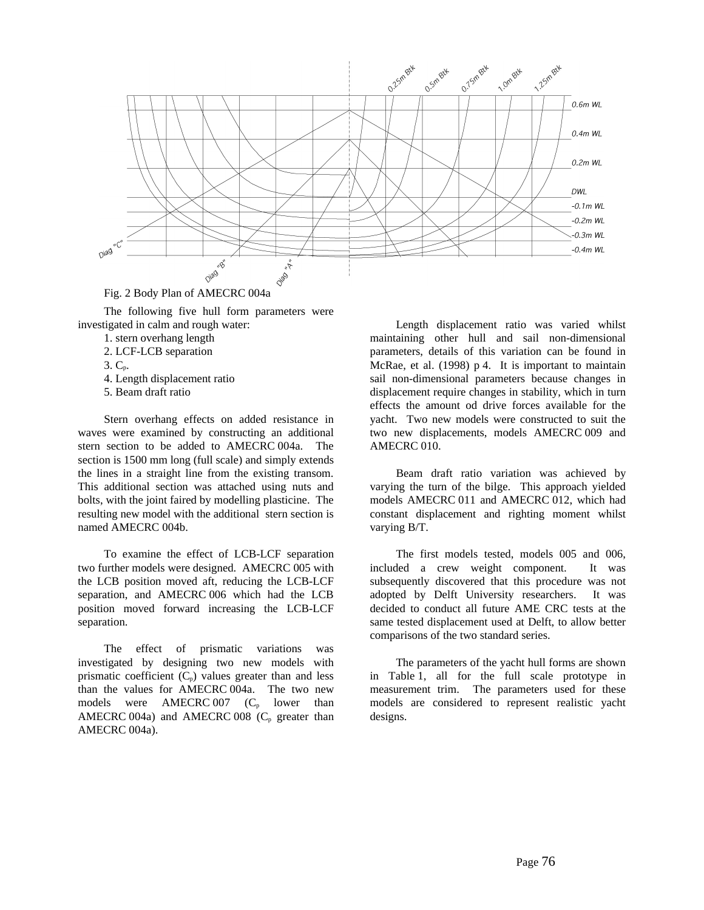

Fig. 2 Body Plan of AMECRC 004a

The following five hull form parameters were investigated in calm and rough water:

- 1. stern overhang length
- 2. LCF-LCB separation
- $3. C<sub>p</sub>$ .
- 4. Length displacement ratio
- 5. Beam draft ratio

Stern overhang effects on added resistance in waves were examined by constructing an additional stern section to be added to AMECRC 004a. The section is 1500 mm long (full scale) and simply extends the lines in a straight line from the existing transom. This additional section was attached using nuts and bolts, with the joint faired by modelling plasticine. The resulting new model with the additional stern section is named AMECRC 004b.

To examine the effect of LCB-LCF separation two further models were designed. AMECRC 005 with the LCB position moved aft, reducing the LCB-LCF separation, and AMECRC 006 which had the LCB position moved forward increasing the LCB-LCF separation.

The effect of prismatic variations was investigated by designing two new models with prismatic coefficient  $(C_p)$  values greater than and less than the values for AMECRC 004a. The two new models were AMECRC 007  $(C_p \text{ lower than}$ AMECRC 004a) and AMECRC 008  $(C_p)$  greater than AMECRC 004a).

Length displacement ratio was varied whilst maintaining other hull and sail non-dimensional parameters, details of this variation can be found in McRae, et al. (1998) p 4. It is important to maintain sail non-dimensional parameters because changes in displacement require changes in stability, which in turn effects the amount od drive forces available for the yacht. Two new models were constructed to suit the two new displacements, models AMECRC 009 and AMECRC 010.

Beam draft ratio variation was achieved by varying the turn of the bilge. This approach yielded models AMECRC 011 and AMECRC 012, which had constant displacement and righting moment whilst varying B/T.

The first models tested, models 005 and 006, included a crew weight component. It was subsequently discovered that this procedure was not adopted by Delft University researchers. It was decided to conduct all future AME CRC tests at the same tested displacement used at Delft, to allow better comparisons of the two standard series.

The parameters of the yacht hull forms are shown in Table 1, all for the full scale prototype in measurement trim. The parameters used for these models are considered to represent realistic yacht designs.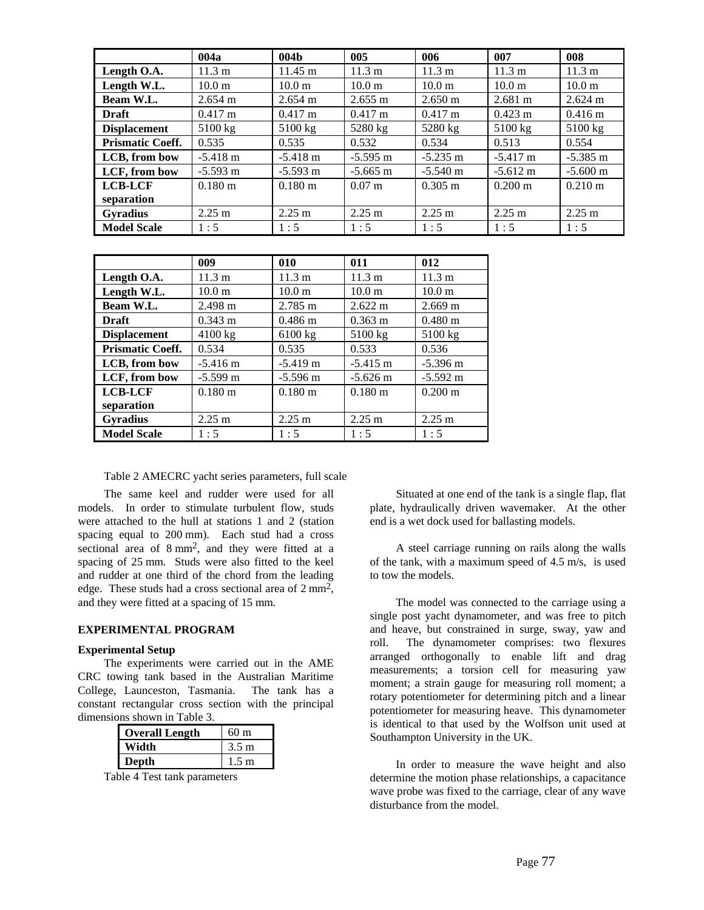|                         | 004a              | 004 <sub>b</sub>   | 005                  | 006               | 007                | 008                |
|-------------------------|-------------------|--------------------|----------------------|-------------------|--------------------|--------------------|
| Length O.A.             | $11.3 \text{ m}$  | $11.45 \text{ m}$  | 11.3 m               | 11.3 m            | 11.3 m             | $11.3 \text{ m}$   |
| Length W.L.             | 10.0 <sub>m</sub> | 10.0 <sub>m</sub>  | 10.0 <sub>m</sub>    | 10.0 <sub>m</sub> | 10.0 m             | 10.0 m             |
| Beam W.L.               | $2.654 \text{ m}$ | $2.654 \text{ m}$  | $2.655 \text{ m}$    | $2.650 \text{ m}$ | $2.681 \text{ m}$  | $2.624 \text{ m}$  |
| <b>Draft</b>            | $0.417 \text{ m}$ | $0.417 \text{ m}$  | $0.417 \text{ m}$    | $0.417 \text{ m}$ | $0.423 \text{ m}$  | $0.416 \text{ m}$  |
| <b>Displacement</b>     | $5100 \text{ kg}$ | $5100 \text{ kg}$  | 5280 kg              | 5280 kg           | 5100 kg            | $5100$ kg          |
| <b>Prismatic Coeff.</b> | 0.535             | 0.535              | 0.532                | 0.534             | 0.513              | 0.554              |
| LCB, from bow           | $-5.418$ m        | $-5.418 \text{ m}$ | $-5.595$ m           | $-5.235$ m        | $-5.417$ m         | $-5.385$ m         |
| LCF, from bow           | $-5.593$ m        | $-5.593 \text{ m}$ | $-5.665$ m           | $-5.540$ m        | $-5.612 \text{ m}$ | $-5.600 \text{ m}$ |
| <b>LCB-LCF</b>          | $0.180 \text{ m}$ | $0.180 \text{ m}$  | $0.07 \; \mathrm{m}$ | $0.305 \text{ m}$ | $0.200 \text{ m}$  | $0.210 \text{ m}$  |
| separation              |                   |                    |                      |                   |                    |                    |
| <b>Gyradius</b>         | $2.25 \text{ m}$  | $2.25 \text{ m}$   | $2.25 \text{ m}$     | $2.25 \text{ m}$  | $2.25 \text{ m}$   | $2.25 \text{ m}$   |
| <b>Model Scale</b>      | 1:5               | 1:5                | 1:5                  | 1:5               | 1:5                | 1:5                |

|                         | 009                   | 010               | 011               | 012                |
|-------------------------|-----------------------|-------------------|-------------------|--------------------|
| Length O.A.             | $11.3 \text{ m}$      | 11.3 m            | 11.3 m            | $11.3 \text{ m}$   |
| Length W.L.             | 10.0 <sub>m</sub>     | 10.0 <sub>m</sub> | 10.0 <sub>m</sub> | 10.0 <sub>m</sub>  |
| Beam W.L.               | 2.498 m               | $2.785 \text{ m}$ | $2.622 \text{ m}$ | $2.669 \text{ m}$  |
| <b>Draft</b>            | $0.343 \; \mathrm{m}$ | $0.486 \text{ m}$ | $0.363 \text{ m}$ | $0.480 \text{ m}$  |
| <b>Displacement</b>     | $4100$ kg             | 6100 kg           | 5100 kg           | 5100 kg            |
| <b>Prismatic Coeff.</b> | 0.534                 | 0.535             | 0.533             | 0.536              |
| LCB, from bow           | $-5.416$ m            | $-5.419$ m        | $-5.415$ m        | $-5.396$ m         |
| LCF, from bow           | $-5.599$ m            | $-5.596$ m        | $-5.626$ m        | $-5.592 \text{ m}$ |
| <b>LCB-LCF</b>          | $0.180 \text{ m}$     | $0.180 \text{ m}$ | $0.180 \text{ m}$ | $0.200 \text{ m}$  |
| separation              |                       |                   |                   |                    |
| <b>Gyradius</b>         | $2.25 \text{ m}$      | $2.25 \text{ m}$  | $2.25 \text{ m}$  | $2.25 \text{ m}$   |
| <b>Model Scale</b>      | 1:5                   | 1:5               | 1:5               | 1:5                |

Table 2 AMECRC yacht series parameters, full scale

The same keel and rudder were used for all models. In order to stimulate turbulent flow, studs were attached to the hull at stations 1 and 2 (station spacing equal to 200 mm). Each stud had a cross sectional area of 8 mm2, and they were fitted at a spacing of 25 mm. Studs were also fitted to the keel and rudder at one third of the chord from the leading edge. These studs had a cross sectional area of  $2 \text{ mm}^2$ , and they were fitted at a spacing of 15 mm.

# **EXPERIMENTAL PROGRAM**

### **Experimental Setup**

The experiments were carried out in the AME CRC towing tank based in the Australian Maritime College, Launceston, Tasmania. The tank has a constant rectangular cross section with the principal dimensions shown in Table 3.

| <b>Overall Length</b> | 60 <sub>m</sub> |
|-----------------------|-----------------|
| Width                 | $3.5 \text{ m}$ |
| Depth                 | $1.5 \text{ m}$ |

Table 4 Test tank parameters

Situated at one end of the tank is a single flap, flat plate, hydraulically driven wavemaker. At the other end is a wet dock used for ballasting models.

A steel carriage running on rails along the walls of the tank, with a maximum speed of 4.5 m/s, is used to tow the models.

The model was connected to the carriage using a single post yacht dynamometer, and was free to pitch and heave, but constrained in surge, sway, yaw and roll. The dynamometer comprises: two flexures arranged orthogonally to enable lift and drag measurements; a torsion cell for measuring yaw moment; a strain gauge for measuring roll moment; a rotary potentiometer for determining pitch and a linear potentiometer for measuring heave. This dynamometer is identical to that used by the Wolfson unit used at Southampton University in the UK.

In order to measure the wave height and also determine the motion phase relationships, a capacitance wave probe was fixed to the carriage, clear of any wave disturbance from the model.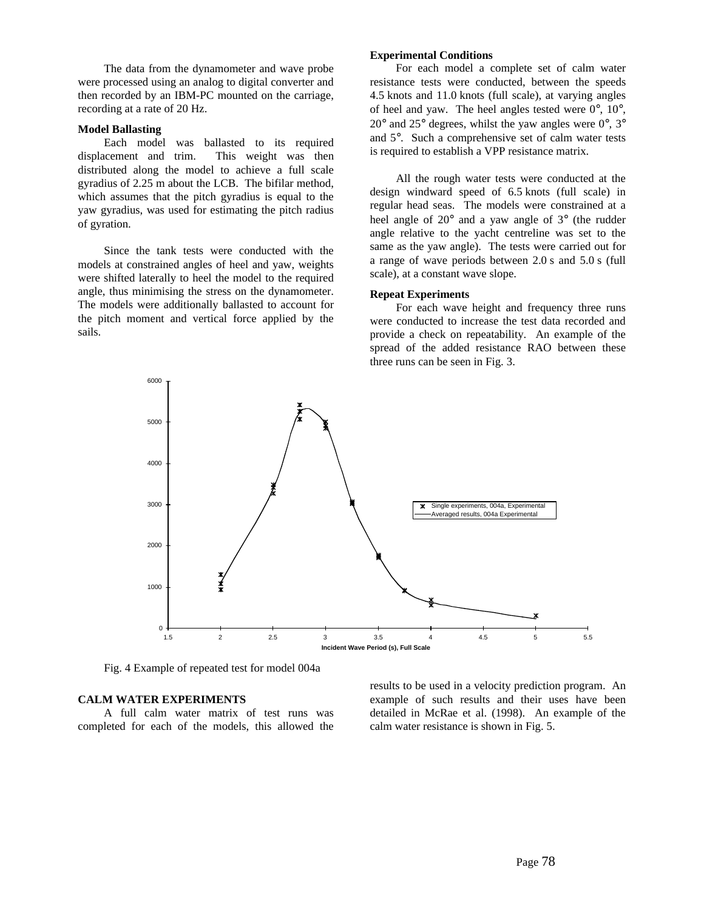The data from the dynamometer and wave probe were processed using an analog to digital converter and then recorded by an IBM-PC mounted on the carriage, recording at a rate of 20 Hz.

### **Model Ballasting**

Each model was ballasted to its required displacement and trim. This weight was then distributed along the model to achieve a full scale gyradius of 2.25 m about the LCB. The bifilar method, which assumes that the pitch gyradius is equal to the yaw gyradius, was used for estimating the pitch radius of gyration.

Since the tank tests were conducted with the models at constrained angles of heel and yaw, weights were shifted laterally to heel the model to the required angle, thus minimising the stress on the dynamometer. The models were additionally ballasted to account for the pitch moment and vertical force applied by the sails.

# **Experimental Conditions**

For each model a complete set of calm water resistance tests were conducted, between the speeds 4.5 knots and 11.0 knots (full scale), at varying angles of heel and yaw. The heel angles tested were 0°, 10°,  $20^{\circ}$  and  $25^{\circ}$  degrees, whilst the yaw angles were  $0^{\circ}$ ,  $3^{\circ}$ and 5°. Such a comprehensive set of calm water tests is required to establish a VPP resistance matrix.

All the rough water tests were conducted at the design windward speed of 6.5 knots (full scale) in regular head seas. The models were constrained at a heel angle of 20° and a yaw angle of 3° (the rudder angle relative to the yacht centreline was set to the same as the yaw angle). The tests were carried out for a range of wave periods between 2.0 s and 5.0 s (full scale), at a constant wave slope.

### **Repeat Experiments**

For each wave height and frequency three runs were conducted to increase the test data recorded and provide a check on repeatability. An example of the spread of the added resistance RAO between these three runs can be seen in Fig. 3.



Fig. 4 Example of repeated test for model 004a

# **CALM WATER EXPERIMENTS**

A full calm water matrix of test runs was completed for each of the models, this allowed the results to be used in a velocity prediction program. An example of such results and their uses have been detailed in McRae et al. (1998). An example of the calm water resistance is shown in Fig. 5.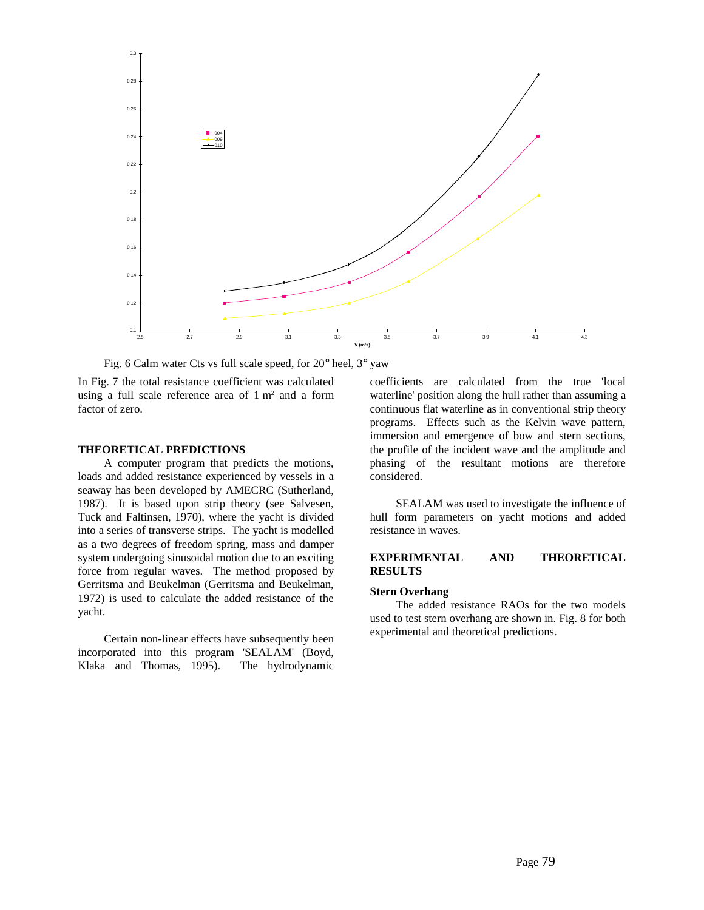

Fig. 6 Calm water Cts vs full scale speed, for 20° heel, 3° yaw

In Fig. 7 the total resistance coefficient was calculated using a full scale reference area of  $1 \text{ m}^2$  and a form factor of zero.

# **THEORETICAL PREDICTIONS**

A computer program that predicts the motions, loads and added resistance experienced by vessels in a seaway has been developed by AMECRC (Sutherland, 1987). It is based upon strip theory (see Salvesen, Tuck and Faltinsen, 1970), where the yacht is divided into a series of transverse strips. The yacht is modelled as a two degrees of freedom spring, mass and damper system undergoing sinusoidal motion due to an exciting force from regular waves. The method proposed by Gerritsma and Beukelman (Gerritsma and Beukelman, 1972) is used to calculate the added resistance of the yacht.

Certain non-linear effects have subsequently been incorporated into this program 'SEALAM' (Boyd, Klaka and Thomas, 1995). The hydrodynamic

coefficients are calculated from the true 'local waterline' position along the hull rather than assuming a continuous flat waterline as in conventional strip theory programs. Effects such as the Kelvin wave pattern, immersion and emergence of bow and stern sections, the profile of the incident wave and the amplitude and phasing of the resultant motions are therefore considered.

SEALAM was used to investigate the influence of hull form parameters on yacht motions and added resistance in waves.

### **EXPERIMENTAL AND THEORETICAL RESULTS**

#### **Stern Overhang**

The added resistance RAOs for the two models used to test stern overhang are shown in. Fig. 8 for both experimental and theoretical predictions.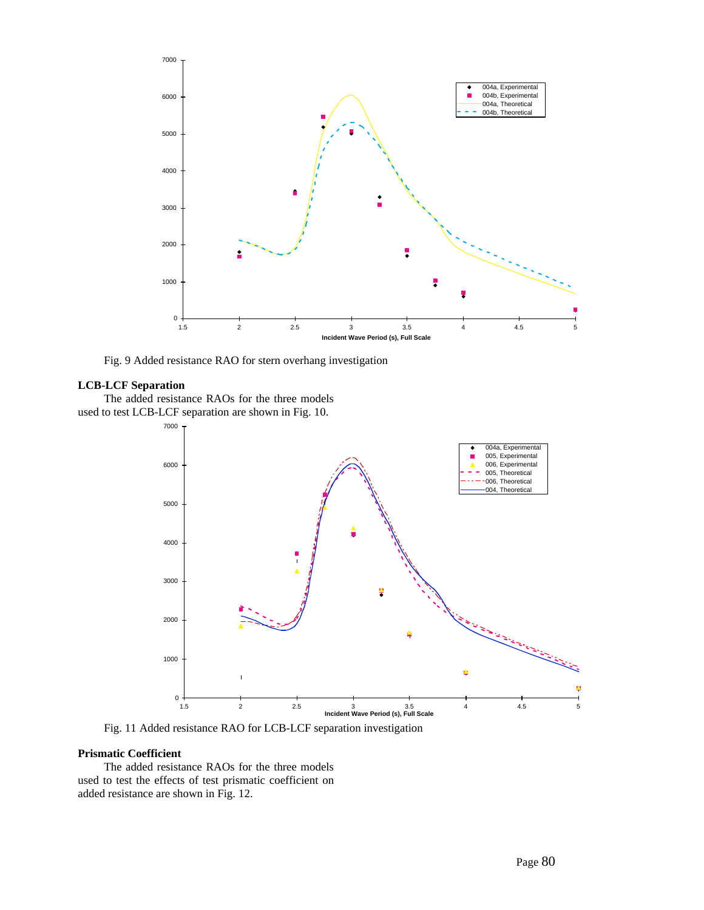

Fig. 9 Added resistance RAO for stern overhang investigation

# **LCB-LCF Separation**

The added resistance RAOs for the three models used to test LCB-LCF separation are shown in Fig. 10.



Fig. 11 Added resistance RAO for LCB-LCF separation investigation

# **Prismatic Coefficient**

The added resistance RAOs for the three models used to test the effects of test prismatic coefficient on added resistance are shown in Fig. 12.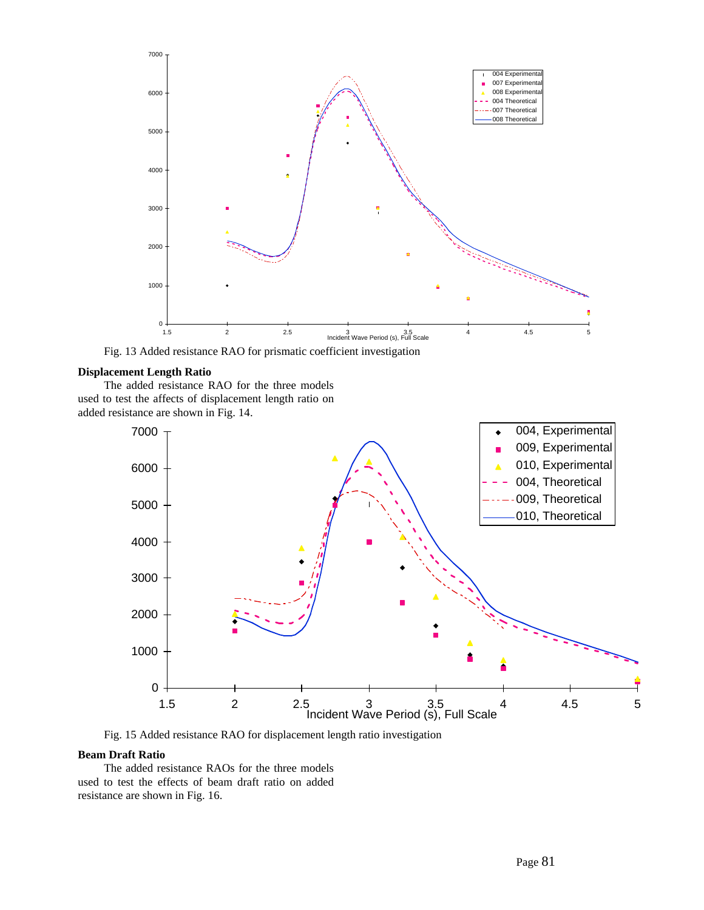

Fig. 13 Added resistance RAO for prismatic coefficient investigation

# **Displacement Length Ratio**

The added resistance RAO for the three models used to test the affects of displacement length ratio on added resistance are shown in Fig. 14.



Fig. 15 Added resistance RAO for displacement length ratio investigation

# **Beam Draft Ratio**

The added resistance RAOs for the three models used to test the effects of beam draft ratio on added resistance are shown in Fig. 16.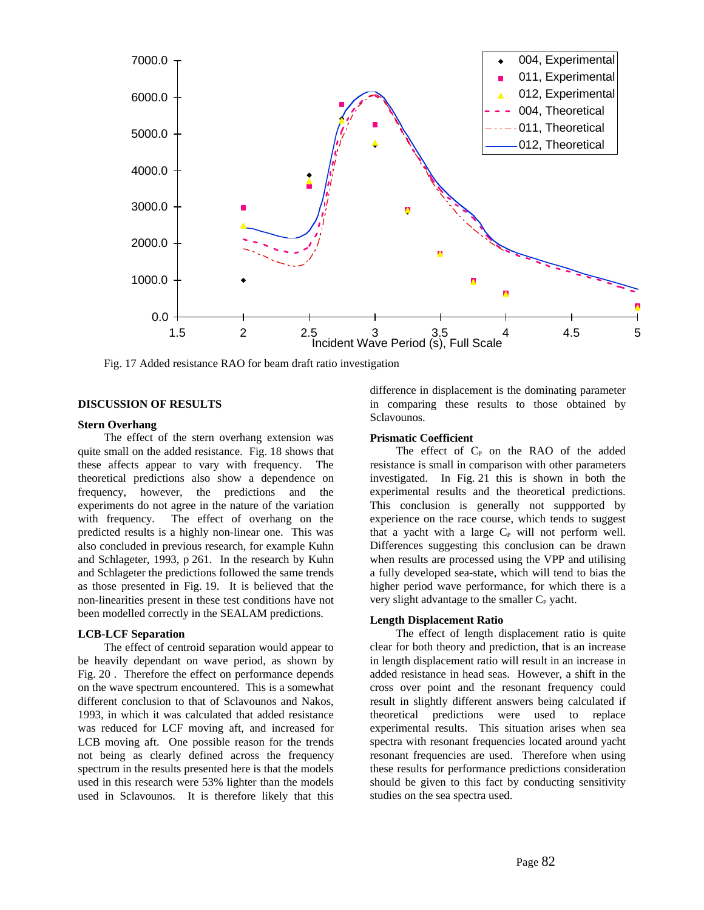

Fig. 17 Added resistance RAO for beam draft ratio investigation

# **DISCUSSION OF RESULTS**

### **Stern Overhang**

The effect of the stern overhang extension was quite small on the added resistance. Fig. 18 shows that these affects appear to vary with frequency. The theoretical predictions also show a dependence on frequency, however, the predictions and the experiments do not agree in the nature of the variation with frequency. The effect of overhang on the predicted results is a highly non-linear one. This was also concluded in previous research, for example Kuhn and Schlageter, 1993, p 261. In the research by Kuhn and Schlageter the predictions followed the same trends as those presented in Fig. 19. It is believed that the non-linearities present in these test conditions have not been modelled correctly in the SEALAM predictions.

### **LCB-LCF Separation**

The effect of centroid separation would appear to be heavily dependant on wave period, as shown by Fig. 20 . Therefore the effect on performance depends on the wave spectrum encountered. This is a somewhat different conclusion to that of Sclavounos and Nakos, 1993, in which it was calculated that added resistance was reduced for LCF moving aft, and increased for LCB moving aft. One possible reason for the trends not being as clearly defined across the frequency spectrum in the results presented here is that the models used in this research were 53% lighter than the models used in Sclavounos. It is therefore likely that this

difference in displacement is the dominating parameter in comparing these results to those obtained by Sclavounos.

# **Prismatic Coefficient**

The effect of  $C_{P}$  on the RAO of the added resistance is small in comparison with other parameters investigated. In Fig. 21 this is shown in both the experimental results and the theoretical predictions. This conclusion is generally not suppported by experience on the race course, which tends to suggest that a yacht with a large  $C_P$  will not perform well. Differences suggesting this conclusion can be drawn when results are processed using the VPP and utilising a fully developed sea-state, which will tend to bias the higher period wave performance, for which there is a very slight advantage to the smaller C<sub>P</sub> yacht.

# **Length Displacement Ratio**

The effect of length displacement ratio is quite clear for both theory and prediction, that is an increase in length displacement ratio will result in an increase in added resistance in head seas. However, a shift in the cross over point and the resonant frequency could result in slightly different answers being calculated if theoretical predictions were used to replace experimental results. This situation arises when sea spectra with resonant frequencies located around yacht resonant frequencies are used. Therefore when using these results for performance predictions consideration should be given to this fact by conducting sensitivity studies on the sea spectra used.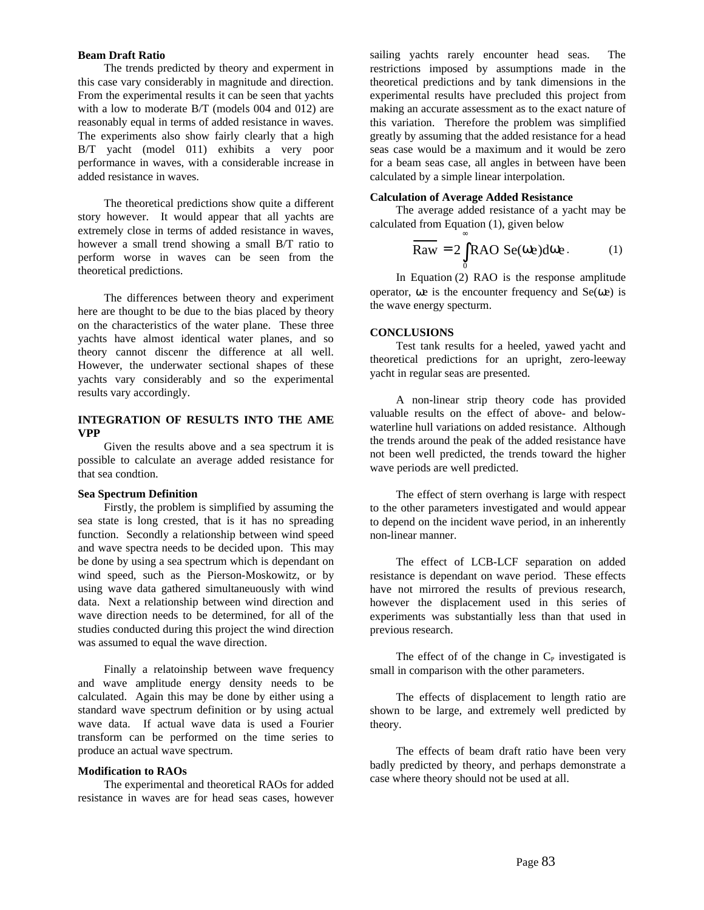### **Beam Draft Ratio**

The trends predicted by theory and experment in this case vary considerably in magnitude and direction. From the experimental results it can be seen that yachts with a low to moderate B/T (models 004 and 012) are reasonably equal in terms of added resistance in waves. The experiments also show fairly clearly that a high B/T yacht (model 011) exhibits a very poor performance in waves, with a considerable increase in added resistance in waves.

The theoretical predictions show quite a different story however. It would appear that all yachts are extremely close in terms of added resistance in waves, however a small trend showing a small B/T ratio to perform worse in waves can be seen from the theoretical predictions.

The differences between theory and experiment here are thought to be due to the bias placed by theory on the characteristics of the water plane. These three yachts have almost identical water planes, and so theory cannot discenr the difference at all well. However, the underwater sectional shapes of these yachts vary considerably and so the experimental results vary accordingly.

# **INTEGRATION OF RESULTS INTO THE AME VPP**

Given the results above and a sea spectrum it is possible to calculate an average added resistance for that sea condtion.

### **Sea Spectrum Definition**

Firstly, the problem is simplified by assuming the sea state is long crested, that is it has no spreading function. Secondly a relationship between wind speed and wave spectra needs to be decided upon. This may be done by using a sea spectrum which is dependant on wind speed, such as the Pierson-Moskowitz, or by using wave data gathered simultaneuously with wind data. Next a relationship between wind direction and wave direction needs to be determined, for all of the studies conducted during this project the wind direction was assumed to equal the wave direction.

Finally a relatoinship between wave frequency and wave amplitude energy density needs to be calculated. Again this may be done by either using a standard wave spectrum definition or by using actual wave data. If actual wave data is used a Fourier transform can be performed on the time series to produce an actual wave spectrum.

# **Modification to RAOs**

The experimental and theoretical RAOs for added resistance in waves are for head seas cases, however sailing yachts rarely encounter head seas. The restrictions imposed by assumptions made in the theoretical predictions and by tank dimensions in the experimental results have precluded this project from making an accurate assessment as to the exact nature of this variation. Therefore the problem was simplified greatly by assuming that the added resistance for a head seas case would be a maximum and it would be zero for a beam seas case, all angles in between have been calculated by a simple linear interpolation.

### **Calculation of Average Added Resistance**

The average added resistance of a yacht may be calculated from Equation (1), given below ∞

$$
\overline{\text{Raw}} = 2 \int_{0}^{1} \text{RAO} \, \text{Se}(\omega e) \, \text{d}\omega e. \tag{1}
$$

In Equation (2) RAO is the response amplitude operator,  $\omega e$  is the encounter frequency and  $Se(\omega e)$  is the wave energy specturm.

#### **CONCLUSIONS**

Test tank results for a heeled, yawed yacht and theoretical predictions for an upright, zero-leeway yacht in regular seas are presented.

A non-linear strip theory code has provided valuable results on the effect of above- and belowwaterline hull variations on added resistance. Although the trends around the peak of the added resistance have not been well predicted, the trends toward the higher wave periods are well predicted.

The effect of stern overhang is large with respect to the other parameters investigated and would appear to depend on the incident wave period, in an inherently non-linear manner.

The effect of LCB-LCF separation on added resistance is dependant on wave period. These effects have not mirrored the results of previous research, however the displacement used in this series of experiments was substantially less than that used in previous research.

The effect of of the change in  $C_{P}$  investigated is small in comparison with the other parameters.

The effects of displacement to length ratio are shown to be large, and extremely well predicted by theory.

The effects of beam draft ratio have been very badly predicted by theory, and perhaps demonstrate a case where theory should not be used at all.